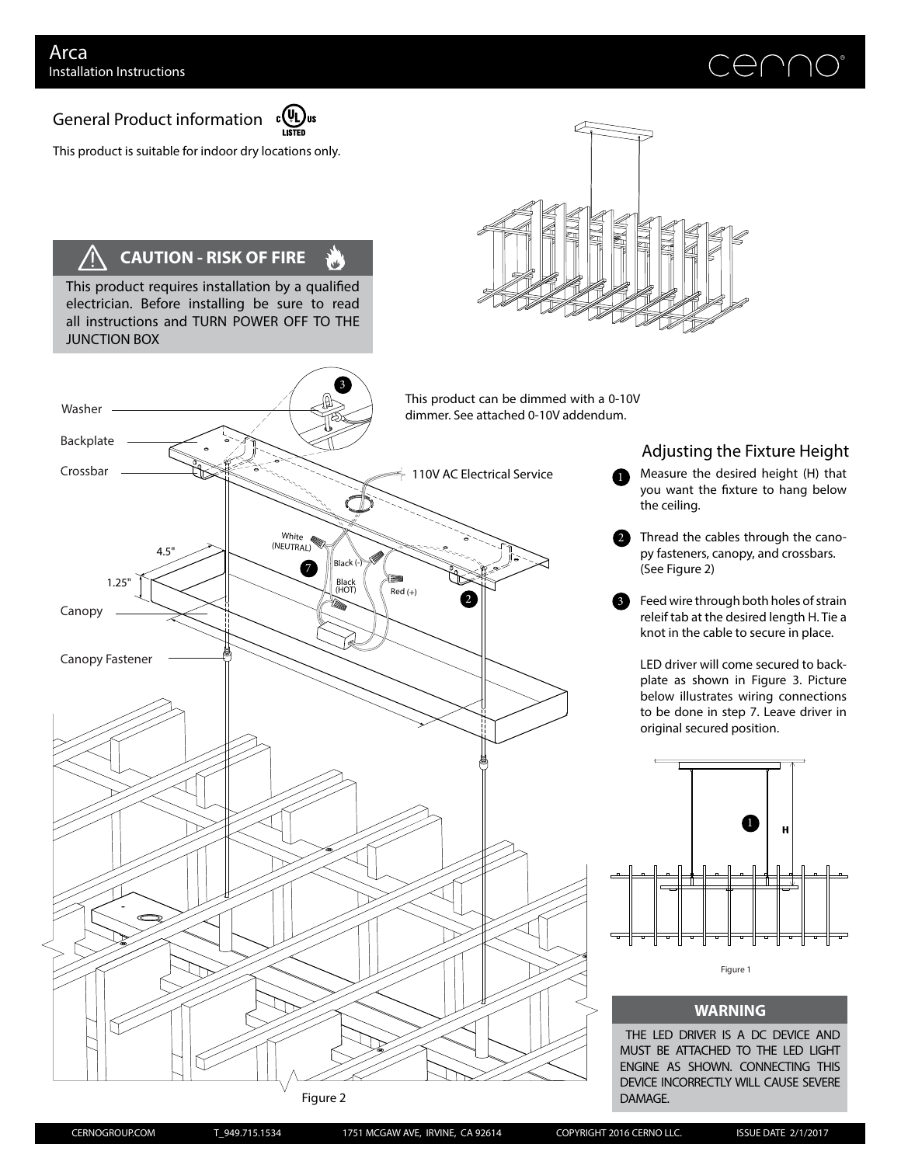Washer

# $\bigoplus$   $\bigcap$

General Product information



3

أعان

This product is suitable for indoor dry locations only.

## **CAUTION - RISK OF FIRE**

This product requires installation by a qualified electrician. Before installing be sure to read all instructions and TURN POWER OFF TO THE JUNCTION BOX



This product can be dimmed with a 0-10V dimmer. See attached 0-10V addendum.



Figure 2

### Adjusting the Fixture Height

**T** Measure the desired height (H) that you want the fixture to hang below the ceiling.

- 2 Thread the cables through the canopy fasteners, canopy, and crossbars. (See Figure 2)
- Feed wire through both holes of strain releif tab at the desired length H. Tie a knot in the cable to secure in place. 3

LED driver will come secured to backplate as shown in Figure 3. Picture below illustrates wiring connections to be done in step 7. Leave driver in original secured position.



#### **WARNING**

THE LED DRIVER IS A DC DEVICE AND MUST BE ATTACHED TO THE LED LIGHT ENGINE AS SHOWN. CONNECTING THIS DEVICE INCORRECTLY WILL CAUSE SEVERE DAMAGE.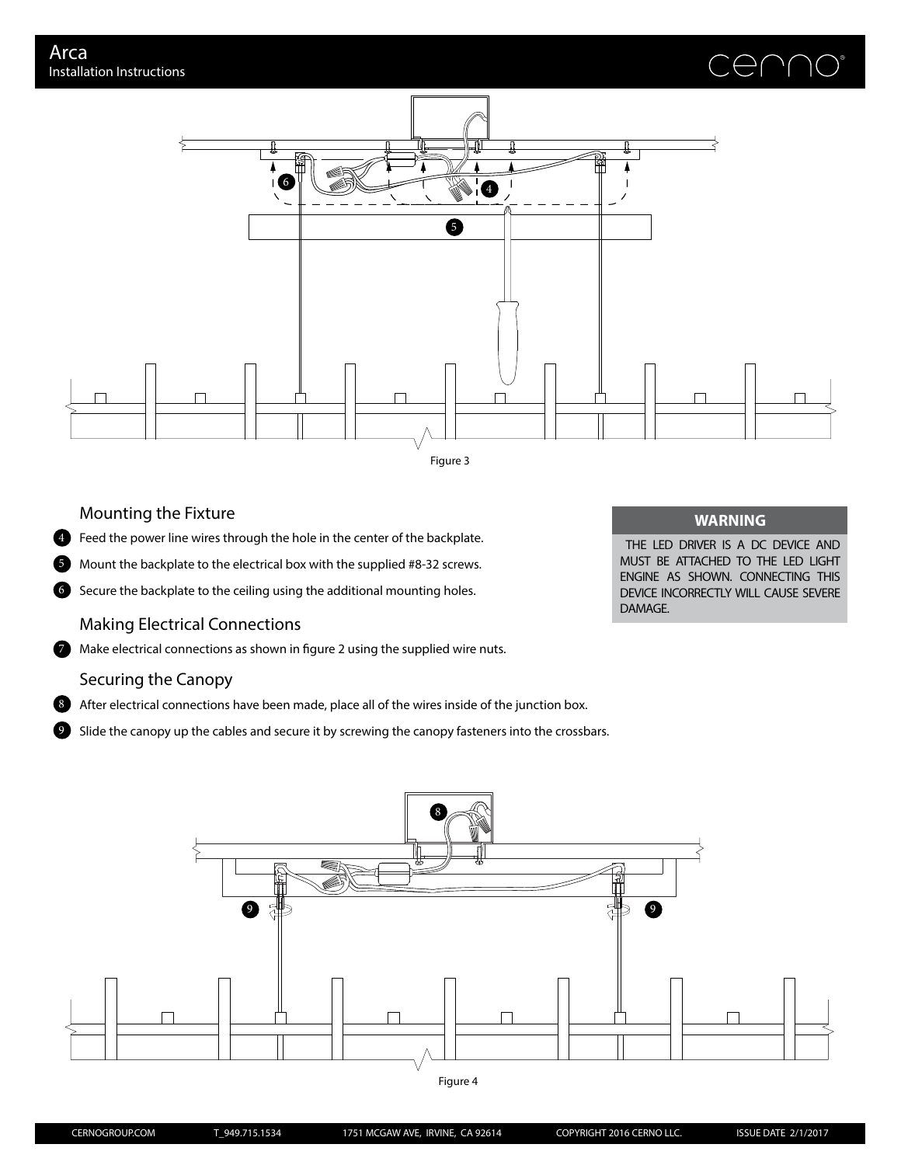



#### Mounting the Fixture

**Example 2** Feed the power line wires through the hole in the center of the backplate.

5 Mount the backplate to the electrical box with the supplied #8-32 screws.

6 Secure the backplate to the ceiling using the additional mounting holes.

#### Making Electrical Connections

**Make electrical connections as shown in figure 2 using the supplied wire nuts.** 

#### Securing the Canopy

8) After electrical connections have been made, place all of the wires inside of the junction box.

Slide the canopy up the cables and secure it by screwing the canopy fasteners into the crossbars. 0

#### **WARNING**

THE LED DRIVER IS A DC DEVICE AND MUST BE ATTACHED TO THE LED LIGHT ENGINE AS SHOWN. CONNECTING THIS DEVICE INCORRECTLY WILL CAUSE SEVERE DAMAGE.



Figure 4